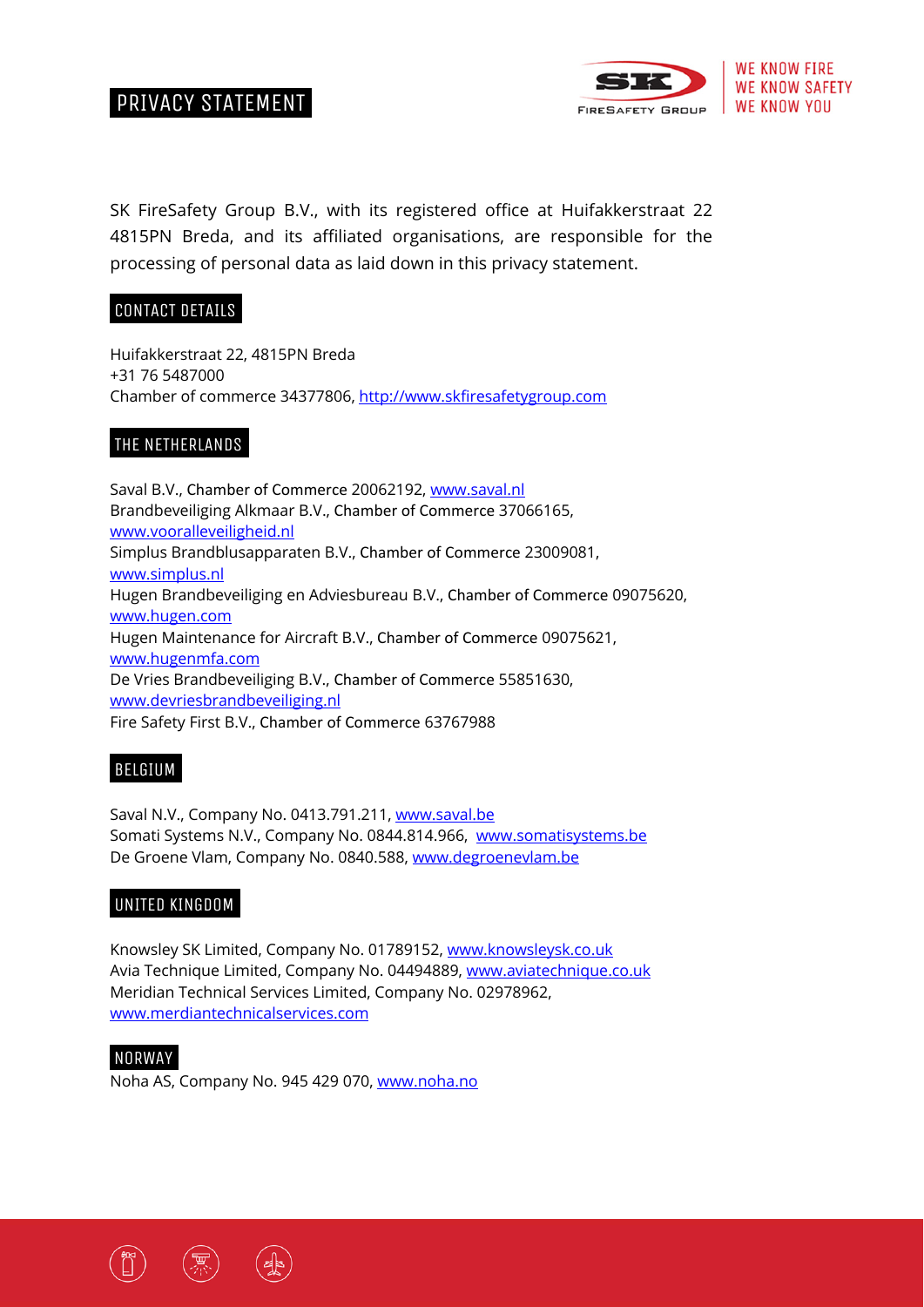



SK FireSafety Group B.V., with its registered office at Huifakkerstraat 22 4815PN Breda, and its affiliated organisations, are responsible for the processing of personal data as laid down in this privacy statement.

### CONTACT DETAILS

Huifakkerstraat 22, 4815PN Breda +31 76 5487000 Chamber of commerce 34377806, http://www.skfiresafetygroup.com

# THE NETHERLANDS.

Saval B.V., Chamber of Commerce 20062192, www.saval.nl Brandbeveiliging Alkmaar B.V., Chamber of Commerce 37066165, www.vooralleveiligheid.nl Simplus Brandblusapparaten B.V., Chamber of Commerce 23009081, www.simplus.nl Hugen Brandbeveiliging en Adviesbureau B.V., Chamber of Commerce 09075620, www.hugen.com Hugen Maintenance for Aircraft B.V., Chamber of Commerce 09075621, www.hugenmfa.com De Vries Brandbeveiliging B.V., Chamber of Commerce 55851630, www.devriesbrandbeveiliging.nl Fire Safety First B.V., Chamber of Commerce 63767988

### BELGIUM.

Saval N.V., Company No. 0413.791.211, www.saval.be Somati Systems N.V., Company No. 0844.814.966, www.somatisystems.be De Groene Vlam, Company No. 0840.588, www.degroenevlam.be

# UNITED KINGDOM.

Knowsley SK Limited, Company No. 01789152, www.knowsleysk.co.uk Avia Technique Limited, Company No. 04494889, www.aviatechnique.co.uk Meridian Technical Services Limited, Company No. 02978962, www.merdiantechnicalservices.com

### NORWAY.

Noha AS, Company No. 945 429 070, www.noha.no

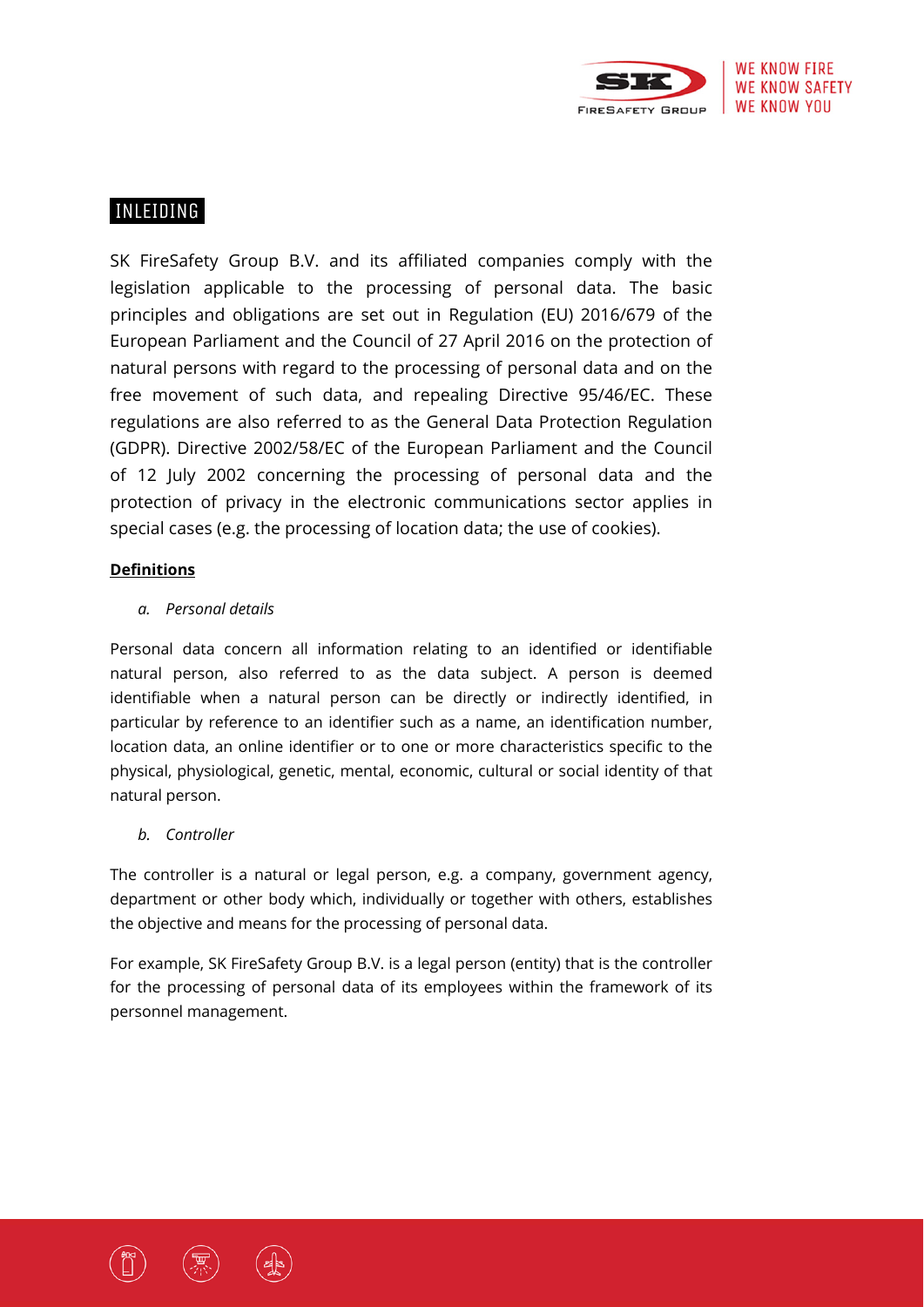

# INLEIDING.

SK FireSafety Group B.V. and its affiliated companies comply with the legislation applicable to the processing of personal data. The basic principles and obligations are set out in Regulation (EU) 2016/679 of the European Parliament and the Council of 27 April 2016 on the protection of natural persons with regard to the processing of personal data and on the free movement of such data, and repealing Directive 95/46/EC. These regulations are also referred to as the General Data Protection Regulation (GDPR). Directive 2002/58/EC of the European Parliament and the Council of 12 July 2002 concerning the processing of personal data and the protection of privacy in the electronic communications sector applies in special cases (e.g. the processing of location data; the use of cookies).

### **Definitions**

### *a. Personal details*

Personal data concern all information relating to an identified or identifiable natural person, also referred to as the data subject. A person is deemed identifiable when a natural person can be directly or indirectly identified, in particular by reference to an identifier such as a name, an identification number, location data, an online identifier or to one or more characteristics specific to the physical, physiological, genetic, mental, economic, cultural or social identity of that natural person.

### *b. Controller*

The controller is a natural or legal person, e.g. a company, government agency, department or other body which, individually or together with others, establishes the objective and means for the processing of personal data.

For example, SK FireSafety Group B.V. is a legal person (entity) that is the controller for the processing of personal data of its employees within the framework of its personnel management.



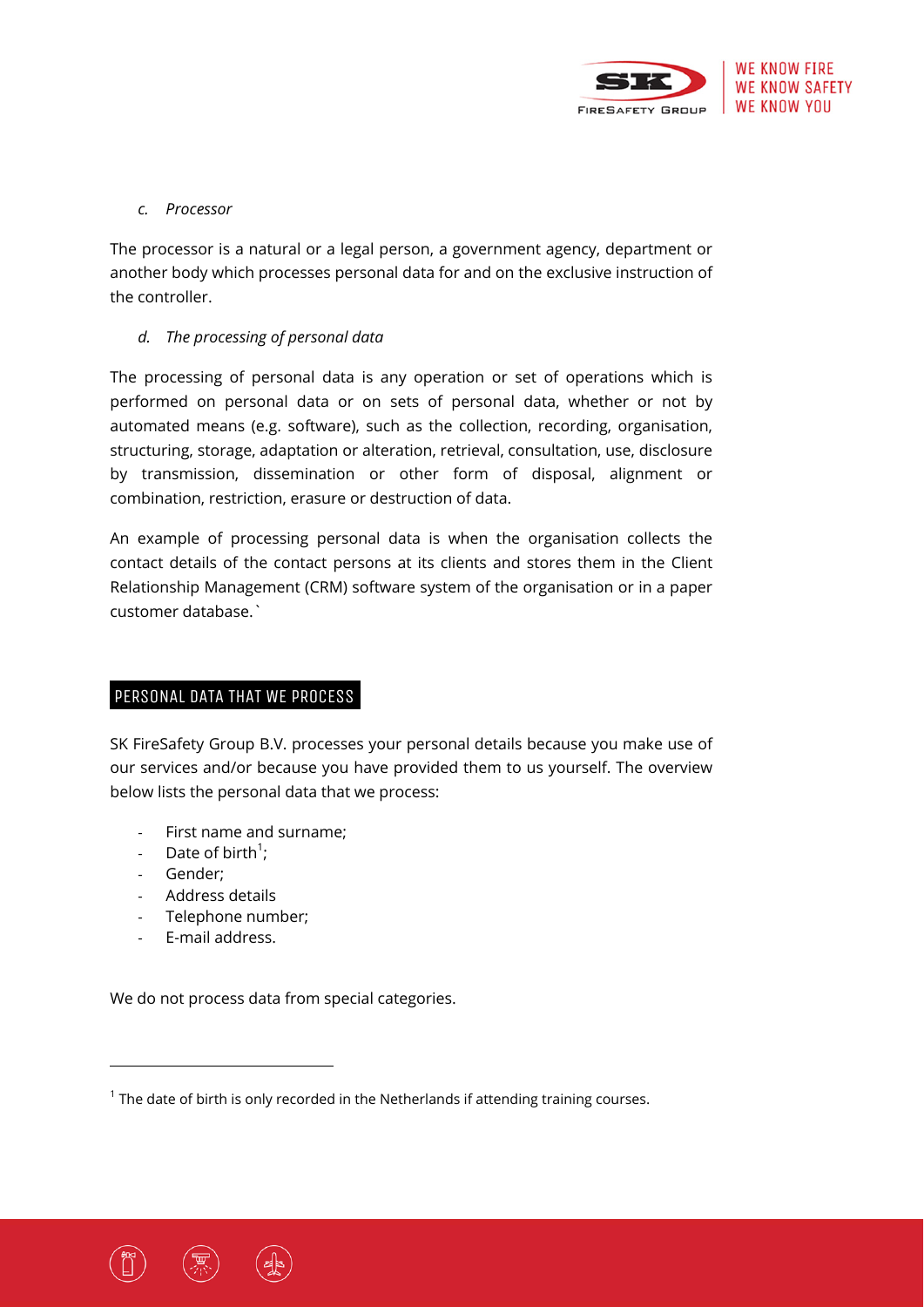

### *c. Processor*

The processor is a natural or a legal person, a government agency, department or another body which processes personal data for and on the exclusive instruction of the controller.

### *d. The processing of personal data*

The processing of personal data is any operation or set of operations which is performed on personal data or on sets of personal data, whether or not by automated means (e.g. software), such as the collection, recording, organisation, structuring, storage, adaptation or alteration, retrieval, consultation, use, disclosure by transmission, dissemination or other form of disposal, alignment or combination, restriction, erasure or destruction of data.

An example of processing personal data is when the organisation collects the contact details of the contact persons at its clients and stores them in the Client Relationship Management (CRM) software system of the organisation or in a paper customer database.`

### PERSONAL DATA THAT WE PROCESS

SK FireSafety Group B.V. processes your personal details because you make use of our services and/or because you have provided them to us yourself. The overview below lists the personal data that we process:

- ‐ First name and surname;
- Date of birth<sup>1</sup>;
- ‐ Gender;
- ‐ Address details
- ‐ Telephone number;

‐ E-mail address.

We do not process data from special categories.

 $1$  The date of birth is only recorded in the Netherlands if attending training courses.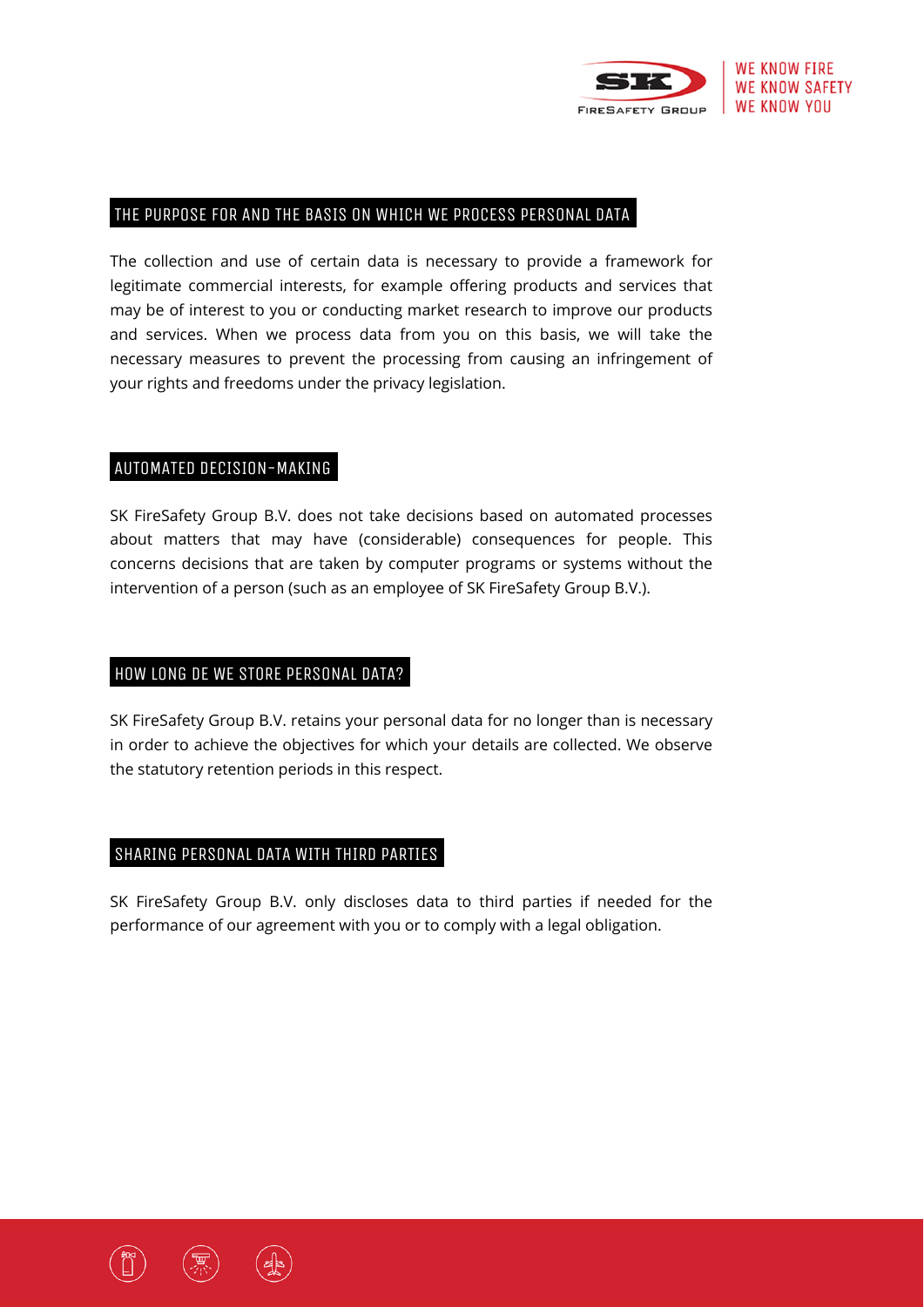

#### THE PURPOSE FOR AND THE BASIS ON WHICH WE PROCESS PERSONAL DATA.

The collection and use of certain data is necessary to provide a framework for legitimate commercial interests, for example offering products and services that may be of interest to you or conducting market research to improve our products and services. When we process data from you on this basis, we will take the necessary measures to prevent the processing from causing an infringement of your rights and freedoms under the privacy legislation.

#### AUTOMATED DECISION-MAKING.

SK FireSafety Group B.V. does not take decisions based on automated processes about matters that may have (considerable) consequences for people. This concerns decisions that are taken by computer programs or systems without the intervention of a person (such as an employee of SK FireSafety Group B.V.).

#### HOW LONG DE WE STORE PERSONAL DATA?.

SK FireSafety Group B.V. retains your personal data for no longer than is necessary in order to achieve the objectives for which your details are collected. We observe the statutory retention periods in this respect.

#### SHARING PERSONAL DATA WITH THIRD PARTIES.

SK FireSafety Group B.V. only discloses data to third parties if needed for the performance of our agreement with you or to comply with a legal obligation.



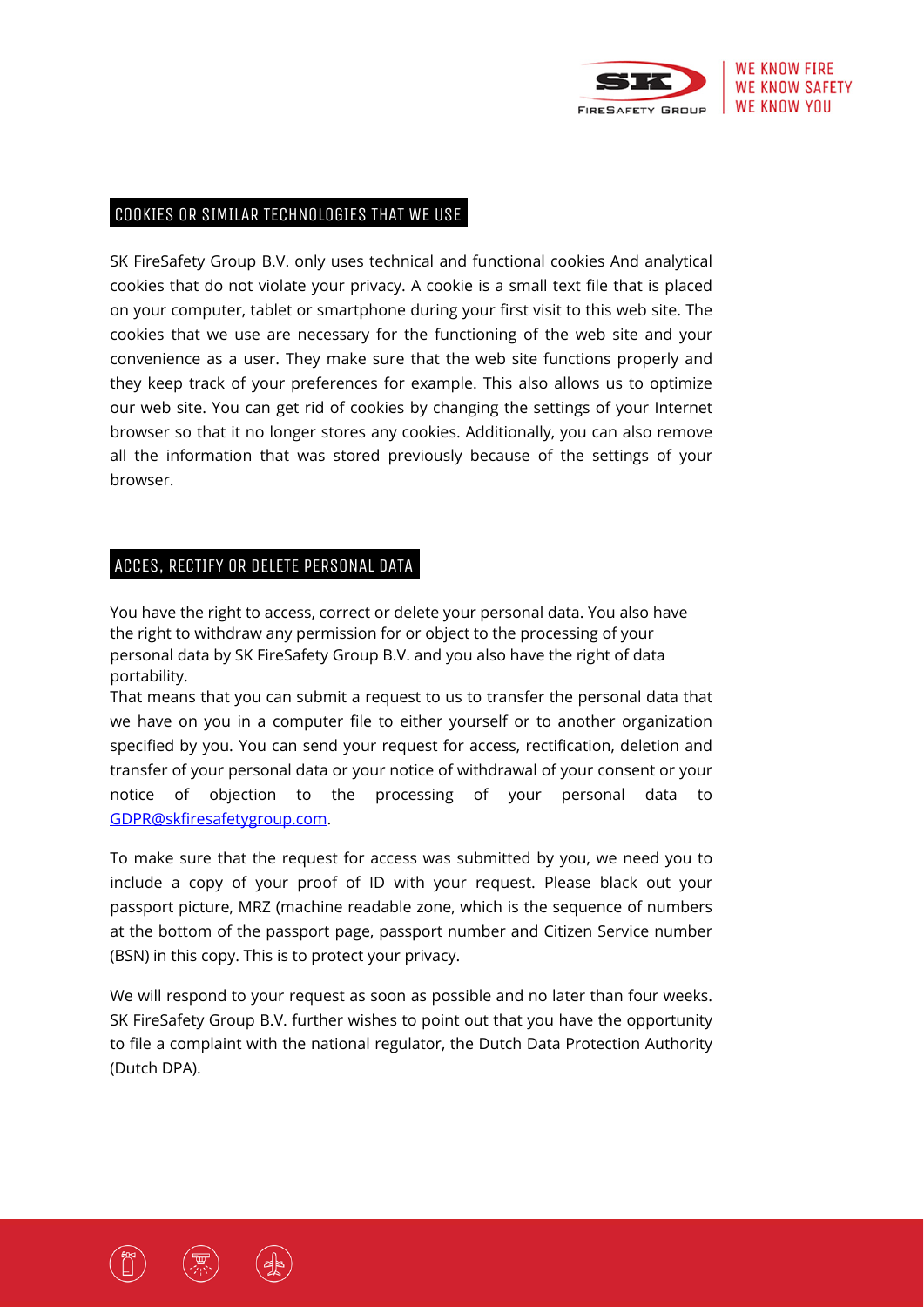

#### COOKIES OR SIMILAR TECHNOLOGIES THAT WE USE.

SK FireSafety Group B.V. only uses technical and functional cookies And analytical cookies that do not violate your privacy. A cookie is a small text file that is placed on your computer, tablet or smartphone during your first visit to this web site. The cookies that we use are necessary for the functioning of the web site and your convenience as a user. They make sure that the web site functions properly and they keep track of your preferences for example. This also allows us to optimize our web site. You can get rid of cookies by changing the settings of your Internet browser so that it no longer stores any cookies. Additionally, you can also remove all the information that was stored previously because of the settings of your browser.

#### ACCES, RECTIFY OR DELETE PERSONAL DATA.

You have the right to access, correct or delete your personal data. You also have the right to withdraw any permission for or object to the processing of your personal data by SK FireSafety Group B.V. and you also have the right of data portability.

That means that you can submit a request to us to transfer the personal data that we have on you in a computer file to either yourself or to another organization specified by you. You can send your request for access, rectification, deletion and transfer of your personal data or your notice of withdrawal of your consent or your notice of objection to the processing of your personal data to GDPR@skfiresafetygroup.com.

To make sure that the request for access was submitted by you, we need you to include a copy of your proof of ID with your request. Please black out your passport picture, MRZ (machine readable zone, which is the sequence of numbers at the bottom of the passport page, passport number and Citizen Service number (BSN) in this copy. This is to protect your privacy.

We will respond to your request as soon as possible and no later than four weeks. SK FireSafety Group B.V. further wishes to point out that you have the opportunity to file a complaint with the national regulator, the Dutch Data Protection Authority (Dutch DPA).